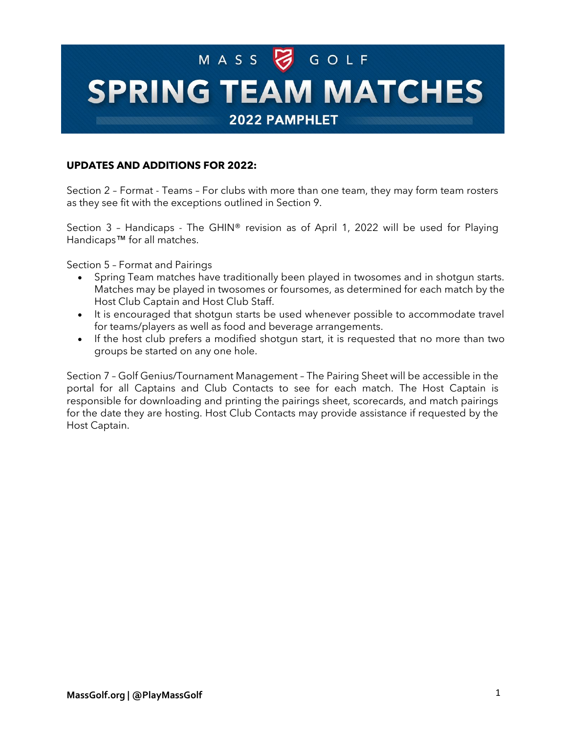# MASS SGOLF **SPRING TEAM MATCHES**

2022 PAMPHLET

## **UPDATES AND ADDITIONS FOR 2022:**

Section 2 – Format - Teams – For clubs with more than one team, they may form team rosters as they see fit with the exceptions outlined in Section 9.

Section 3 – Handicaps - The GHIN® revision as of April 1, 2022 will be used for Playing Handicaps™ for all matches.

Section 5 – Format and Pairings

- Spring Team matches have traditionally been played in twosomes and in shotgun starts. Matches may be played in twosomes or foursomes, as determined for each match by the Host Club Captain and Host Club Staff.
- It is encouraged that shotgun starts be used whenever possible to accommodate travel for teams/players as well as food and beverage arrangements.
- If the host club prefers a modified shotgun start, it is requested that no more than two groups be started on any one hole.

Section 7 – Golf Genius/Tournament Management – The Pairing Sheet will be accessible in the portal for all Captains and Club Contacts to see for each match. The Host Captain is responsible for downloading and printing the pairings sheet, scorecards, and match pairings for the date they are hosting. Host Club Contacts may provide assistance if requested by the Host Captain.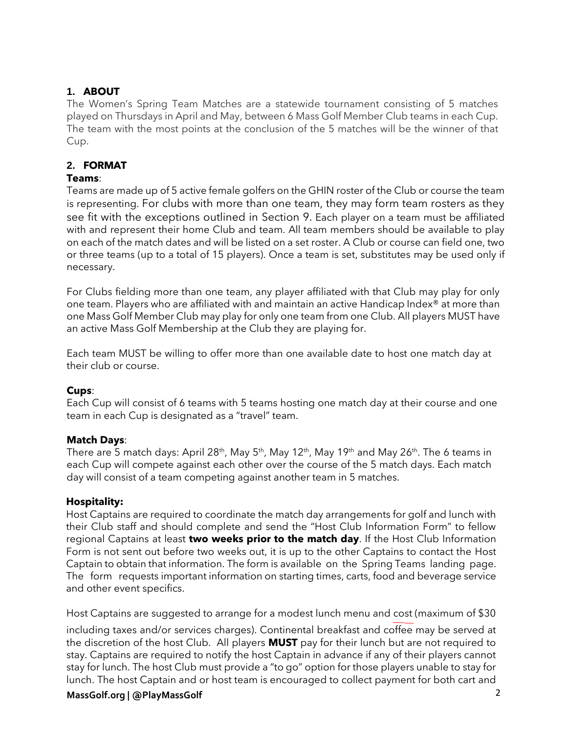## **1. ABOUT**

The Women's Spring Team Matches are a statewide tournament consisting of 5 matches played on Thursdays in April and May, between 6 Mass Golf Member Club teams in each Cup. The team with the most points at the conclusion of the 5 matches will be the winner of that Cup.

## **2. FORMAT**

## **Teams**:

Teams are made up of 5 active female golfers on the GHIN roster of the Club or course the team is representing. For clubs with more than one team, they may form team rosters as they see fit with the exceptions outlined in Section 9. Each player on a team must be affiliated with and represent their home Club and team. All team members should be available to play on each of the match dates and will be listed on a set roster. A Club or course can field one, two or three teams (up to a total of 15 players). Once a team is set, substitutes may be used only if necessary.

For Clubs fielding more than one team, any player affiliated with that Club may play for only one team. Players who are affiliated with and maintain an active Handicap Index® at more than one Mass Golf Member Club may play for only one team from one Club. All players MUST have an active Mass Golf Membership at the Club they are playing for.

Each team MUST be willing to offer more than one available date to host one match day at their club or course.

## **Cups**:

Each Cup will consist of 6 teams with 5 teams hosting one match day at their course and one team in each Cup is designated as a "travel" team.

## **Match Days**:

There are 5 match days: April 28<sup>th</sup>, May 5<sup>th</sup>, May 12<sup>th</sup>, May 19<sup>th</sup> and May 26<sup>th</sup>. The 6 teams in each Cup will compete against each other over the course of the 5 match days. Each match day will consist of a team competing against another team in 5 matches.

## **Hospitality:**

Host Captains are required to coordinate the match day arrangements for golf and lunch with their Club staff and should complete and send the "Host Club Information Form" to fellow regional Captains at least **two weeks prior to the match day**. If the Host Club Information Form is not sent out before two weeks out, it is up to the other Captains to contact the Host Captain to obtain that information. The form [is available on the Spring Teams landing page.](https://www.massgolf.org/wp-content/uploads/2018/11/2019-Fall-Cup-Region-Summary.8.12.19.with-emails.pdf)  [The form requests](https://www.massgolf.org/wp-content/uploads/2018/11/2019-Fall-Cup-Region-Summary.8.12.19.with-emails.pdf) important information on starting times, carts, food and beverage service and other event specifics.

Host Captains are suggested to arrange for a modest lunch menu and cost (maximum of \$30

including taxes and/or services charges). Continental breakfast and coffee may be served at the discretion of the host Club. All players **MUST** pay for their lunch but are not required to stay. Captains are required to notify the host Captain in advance if any of their players cannot stay for lunch. The host Club must provide a "to go" option for those players unable to stay for lunch. The host Captain and or host team is encouraged to collect payment for both cart and

## **MassGolf.org | @PlayMassGolf** 2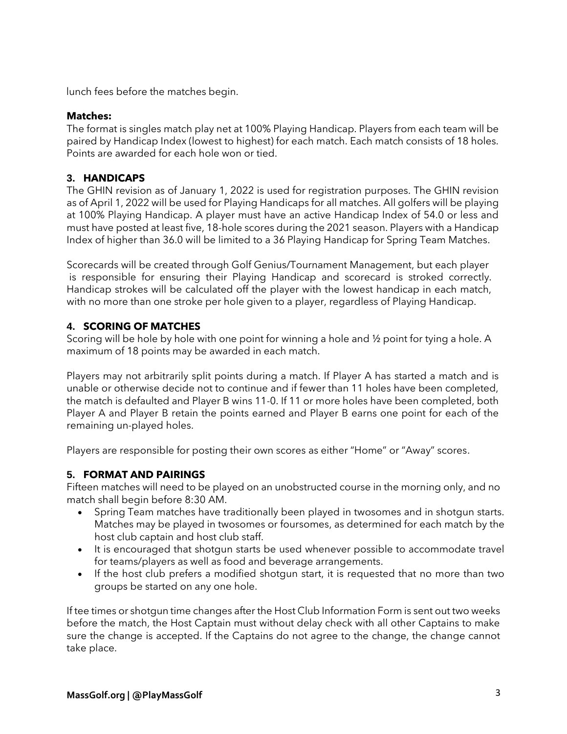lunch fees before the matches begin.

#### **Matches:**

The format is singles match play net at 100% Playing Handicap. Players from each team will be paired by Handicap Index (lowest to highest) for each match. Each match consists of 18 holes. Points are awarded for each hole won or tied.

## **3. HANDICAPS**

The GHIN revision as of January 1, 2022 is used for registration purposes. The GHIN revision as of April 1, 2022 will be used for Playing Handicaps for all matches. All golfers will be playing at 100% Playing Handicap. A player must have an active Handicap Index of 54.0 or less and must have posted at least five, 18-hole scores during the 2021 season. Players with a Handicap Index of higher than 36.0 will be limited to a 36 Playing Handicap for Spring Team Matches.

Scorecards will be created through Golf Genius/Tournament Management, but each player is responsible for ensuring their Playing Handicap and scorecard is stroked correctly. Handicap strokes will be calculated off the player with the lowest handicap in each match, with no more than one stroke per hole given to a player, regardless of Playing Handicap.

## **4. SCORING OF MATCHES**

Scoring will be hole by hole with one point for winning a hole and ½ point for tying a hole. A maximum of 18 points may be awarded in each match.

Players may not arbitrarily split points during a match. If Player A has started a match and is unable or otherwise decide not to continue and if fewer than 11 holes have been completed, the match is defaulted and Player B wins 11-0. If 11 or more holes have been completed, both Player A and Player B retain the points earned and Player B earns one point for each of the remaining un-played holes.

Players are responsible for posting their own scores as either "Home" or "Away" scores.

## **5. FORMAT AND PAIRINGS**

Fifteen matches will need to be played on an unobstructed course in the morning only, and no match shall begin before 8:30 AM.

- Spring Team matches have traditionally been played in twosomes and in shotgun starts. Matches may be played in twosomes or foursomes, as determined for each match by the host club captain and host club staff.
- It is encouraged that shotgun starts be used whenever possible to accommodate travel for teams/players as well as food and beverage arrangements.
- If the host club prefers a modified shotgun start, it is requested that no more than two groups be started on any one hole.

If tee times or shotgun time changes after the Host Club Information Form is sent out two weeks before the match, the Host Captain must without delay check with all other Captains to make sure the change is accepted. If the Captains do not agree to the change, the change cannot take place.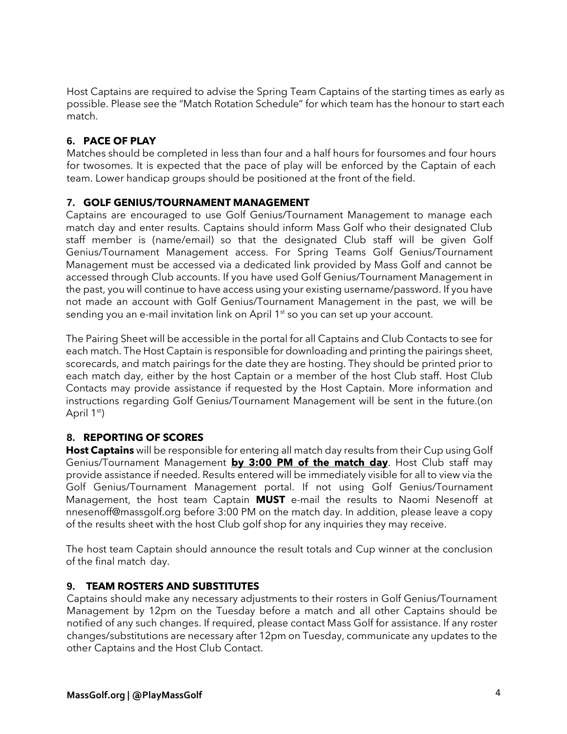Host Captains are required to advise the Spring Team Captains of the starting times as early as possible. Please see the "Match Rotation Schedule" for which team has the honour to start each match.

## **6. PACE OF PLAY**

Matches should be completed in less than four and a half hours for foursomes and four hours for twosomes. It is expected that the pace of play will be enforced by the Captain of each team. Lower handicap groups should be positioned at the front of the field.

## **7. GOLF GENIUS/TOURNAMENT MANAGEMENT**

Captains are encouraged to use Golf Genius/Tournament Management to manage each match day and enter results. Captains should inform Mass Golf who their designated Club staff member is (name/email) so that the designated Club staff will be given Golf Genius/Tournament Management access. For Spring Teams Golf Genius/Tournament Management must be accessed via a dedicated link provided by Mass Golf and cannot be accessed through Club accounts. If you have used Golf Genius/Tournament Management in the past, you will continue to have access using your existing username/password. If you have not made an account with Golf Genius/Tournament Management in the past, we will be sending you an e-mail invitation link on April 1<sup>st</sup> so you can set up your account.

The Pairing Sheet will be accessible in the portal for all Captains and Club Contacts to see for each match. The Host Captain is responsible for downloading and printing the pairings sheet, scorecards, and match pairings for the date they are hosting. They should be printed prior to each match day, either by the host Captain or a member of the host Club staff. Host Club Contacts may provide assistance if requested by the Host Captain. More information and instructions regarding Golf Genius/Tournament Management will be sent in the future.(on April  $1<sup>st</sup>$ 

## **8. REPORTING OF SCORES**

**Host Captains** will be responsible for entering all match day results from their Cup using Golf Genius/Tournament Management **by 3:00 PM of the match day**. Host Club staff may provide assistance if needed. Results entered will be immediately visible for all to view via the Golf Genius/Tournament Management portal. If not using Golf Genius/Tournament Management, the host team Captain **MUST** e-mail the results to Naomi Nesenoff at [nnesenoff@massgolf.org](mailto:nnesenoff@massgolf.org) before 3:00 PM on the match day. In addition, please leave a copy of the results sheet with the host Club golf shop for any inquiries they may receive.

The host team Captain should announce the result totals and Cup winner at the conclusion of the final match day.

## **9. TEAM ROSTERS AND SUBSTITUTES**

Captains should make any necessary adjustments to their rosters in Golf Genius/Tournament Management by 12pm on the Tuesday before a match and all other Captains should be notified of any such changes. If required, please contact Mass Golf for assistance. If any roster changes/substitutions are necessary after 12pm on Tuesday, communicate any updates to the other Captains and the Host Club Contact.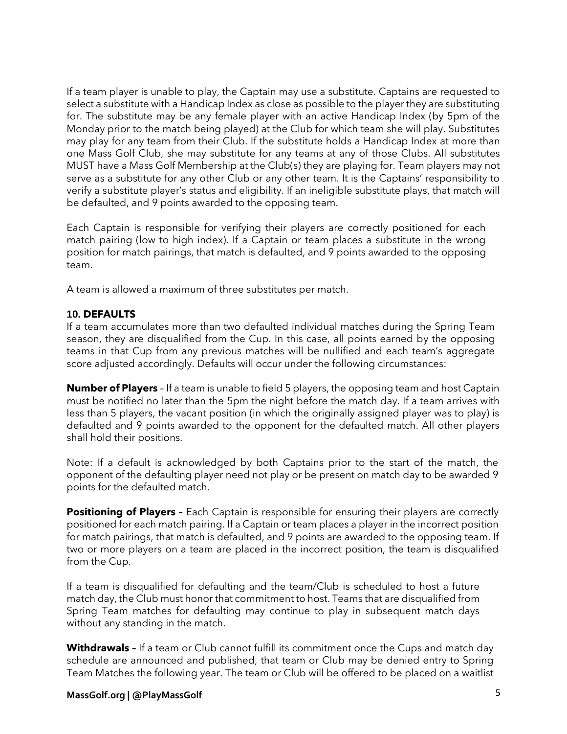If a team player is unable to play, the Captain may use a substitute. Captains are requested to select a substitute with a Handicap Index as close as possible to the player they are substituting for. The substitute may be any female player with an active Handicap Index (by 5pm of the Monday prior to the match being played) at the Club for which team she will play. Substitutes may play for any team from their Club. If the substitute holds a Handicap Index at more than one Mass Golf Club, she may substitute for any teams at any of those Clubs. All substitutes MUST have a Mass Golf Membership at the Club(s) they are playing for. Team players may not serve as a substitute for any other Club or any other team. It is the Captains' responsibility to verify a substitute player's status and eligibility. If an ineligible substitute plays, that match will be defaulted, and 9 points awarded to the opposing team.

Each Captain is responsible for verifying their players are correctly positioned for each match pairing (low to high index). If a Captain or team places a substitute in the wrong position for match pairings, that match is defaulted, and 9 points awarded to the opposing team.

A team is allowed a maximum of three substitutes per match.

## **10. DEFAULTS**

If a team accumulates more than two defaulted individual matches during the Spring Team season, they are disqualified from the Cup. In this case, all points earned by the opposing teams in that Cup from any previous matches will be nullified and each team's aggregate score adjusted accordingly. Defaults will occur under the following circumstances:

**Number of Players** – If a team is unable to field 5 players, the opposing team and host Captain must be notified no later than the 5pm the night before the match day. If a team arrives with less than 5 players, the vacant position (in which the originally assigned player was to play) is defaulted and 9 points awarded to the opponent for the defaulted match. All other players shall hold their positions.

Note: If a default is acknowledged by both Captains prior to the start of the match, the opponent of the defaulting player need not play or be present on match day to be awarded 9 points for the defaulted match.

**Positioning of Players -** Each Captain is responsible for ensuring their players are correctly positioned for each match pairing. If a Captain or team places a player in the incorrect position for match pairings, that match is defaulted, and 9 points are awarded to the opposing team. If two or more players on a team are placed in the incorrect position, the team is disqualified from the Cup.

If a team is disqualified for defaulting and the team/Club is scheduled to host a future match day, the Club must honor that commitment to host. Teams that are disqualified from Spring Team matches for defaulting may continue to play in subsequent match days without any standing in the match.

**Withdrawals –** If a team or Club cannot fulfill its commitment once the Cups and match day schedule are announced and published, that team or Club may be denied entry to Spring Team Matches the following year. The team or Club will be offered to be placed on a waitlist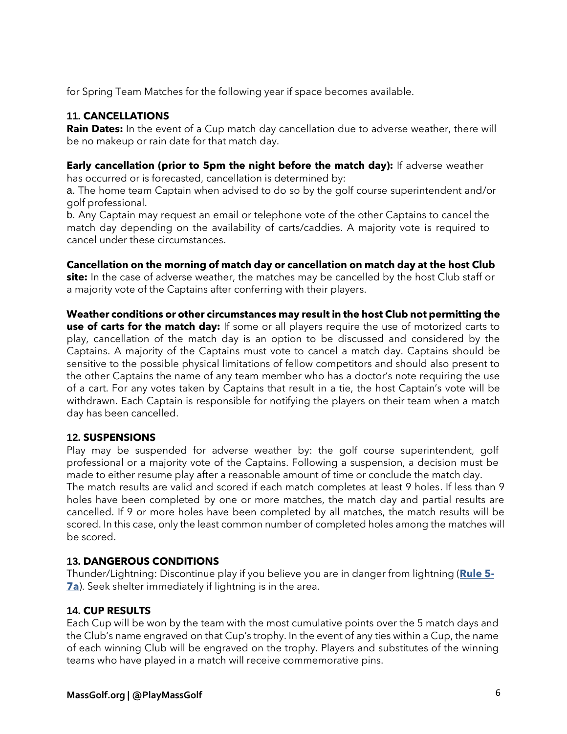for Spring Team Matches for the following year if space becomes available.

## **11. CANCELLATIONS**

Rain Dates: In the event of a Cup match day cancellation due to adverse weather, there will be no makeup or rain date for that match day.

**Early cancellation (prior to 5pm the night before the match day):** If adverse weather has occurred or is forecasted, cancellation is determined by:

a. The home team Captain when advised to do so by the golf course superintendent and/or golf professional.

b. Any Captain may request an email or telephone vote of the other Captains to cancel the match day depending on the availability of carts/caddies. A majority vote is required to cancel under these circumstances.

**Cancellation on the morning of match day or cancellation on match day at the host Club site:** In the case of adverse weather, the matches may be cancelled by the host Club staff or a majority vote of the Captains after conferring with their players.

**Weather conditions or other circumstances may result in the host Club not permitting the use of carts for the match day:** If some or all players require the use of motorized carts to play, cancellation of the match day is an option to be discussed and considered by the Captains. A majority of the Captains must vote to cancel a match day. Captains should be sensitive to the possible physical limitations of fellow competitors and should also present to the other Captains the name of any team member who has a doctor's note requiring the use of a cart. For any votes taken by Captains that result in a tie, the host Captain's vote will be withdrawn. Each Captain is responsible for notifying the players on their team when a match day has been cancelled.

## **12. SUSPENSIONS**

Play may be suspended for adverse weather by: the golf course superintendent, golf professional or a majority vote of the Captains. Following a suspension, a decision must be made to either resume play after a reasonable amount of time or conclude the match day. The match results are valid and scored if each match completes at least 9 holes. If less than 9 holes have been completed by one or more matches, the match day and partial results are cancelled. If 9 or more holes have been completed by all matches, the match results will be scored. In this case, only the least common number of completed holes among the matches will be scored.

## **13. DANGEROUS CONDITIONS**

Thunder/Lightning: Discontinue play if you believe you are in danger from lightning (**[Rule 5-](https://www.usga.org/content/usga/home-page/rules/rules-2019/rules-of-golf/rules-and-interpretations.html#!ruletype=pe§ion=rule&rulenum=5) [7a](https://www.usga.org/content/usga/home-page/rules/rules-2019/rules-of-golf/rules-and-interpretations.html#!ruletype=pe§ion=rule&rulenum=5)**). Seek shelter immediately if lightning is in the area.

## **14. CUP RESULTS**

Each Cup will be won by the team with the most cumulative points over the 5 match days and the Club's name engraved on that Cup's trophy. In the event of any ties within a Cup, the name of each winning Club will be engraved on the trophy. Players and substitutes of the winning teams who have played in a match will receive commemorative pins.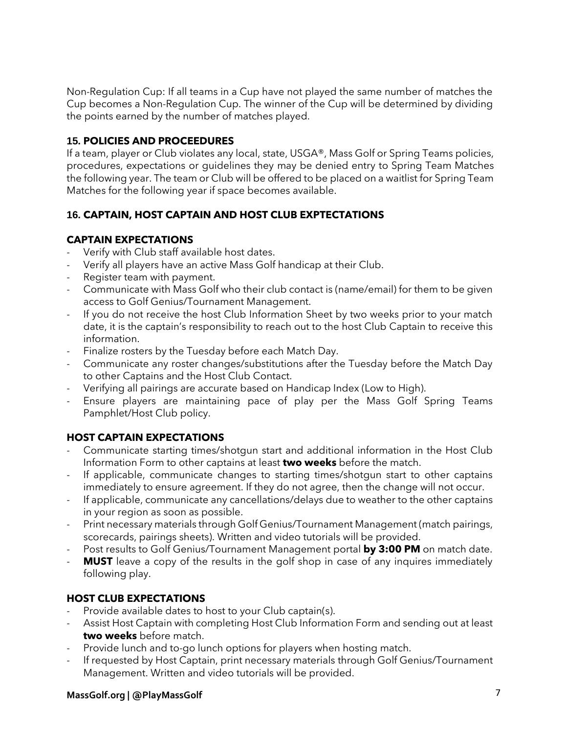Non-Regulation Cup: If all teams in a Cup have not played the same number of matches the Cup becomes a Non-Regulation Cup. The winner of the Cup will be determined by dividing the points earned by the number of matches played.

## **15. POLICIES AND PROCEEDURES**

If a team, player or Club violates any local, state, USGA®, Mass Golf or Spring Teams policies, procedures, expectations or guidelines they may be denied entry to Spring Team Matches the following year. The team or Club will be offered to be placed on a waitlist for Spring Team Matches for the following year if space becomes available.

#### **16. CAPTAIN, HOST CAPTAIN AND HOST CLUB EXPTECTATIONS**

## **CAPTAIN EXPECTATIONS**

- Verify with Club staff available host dates.
- Verify all players have an active Mass Golf handicap at their Club.
- Register team with payment.
- Communicate with Mass Golf who their club contact is (name/email) for them to be given access to Golf Genius/Tournament Management.
- If you do not receive the host Club Information Sheet by two weeks prior to your match date, it is the captain's responsibility to reach out to the host Club Captain to receive this information.
- Finalize rosters by the Tuesday before each Match Day.
- Communicate any roster changes/substitutions after the Tuesday before the Match Day to other Captains and the Host Club Contact.
- Verifying all pairings are accurate based on Handicap Index (Low to High).
- Ensure players are maintaining pace of play per the Mass Golf Spring Teams Pamphlet/Host Club policy.

## **HOST CAPTAIN EXPECTATIONS**

- Communicate starting times/shotgun start and additional information in the Host Club Information Form to other captains at least **two weeks** before the match.
- If applicable, communicate changes to starting times/shotgun start to other captains immediately to ensure agreement. If they do not agree, then the change will not occur.
- If applicable, communicate any cancellations/delays due to weather to the other captains in your region as soon as possible.
- Print necessary materials through Golf Genius/Tournament Management (match pairings, scorecards, pairings sheets). Written and video tutorials will be provided.
- Post results to Golf Genius/Tournament Management portal **by 3:00 PM** on match date.
- **MUST** leave a copy of the results in the golf shop in case of any inquires immediately following play.

## **HOST CLUB EXPECTATIONS**

- Provide available dates to host to your Club captain(s).
- Assist Host Captain with completing Host Club Information Form and sending out at least **two weeks** before match.
- Provide lunch and to-go lunch options for players when hosting match.
- If requested by Host Captain, print necessary materials through Golf Genius/Tournament Management. Written and video tutorials will be provided.

## **MassGolf.org | @PlayMassGolf** 7